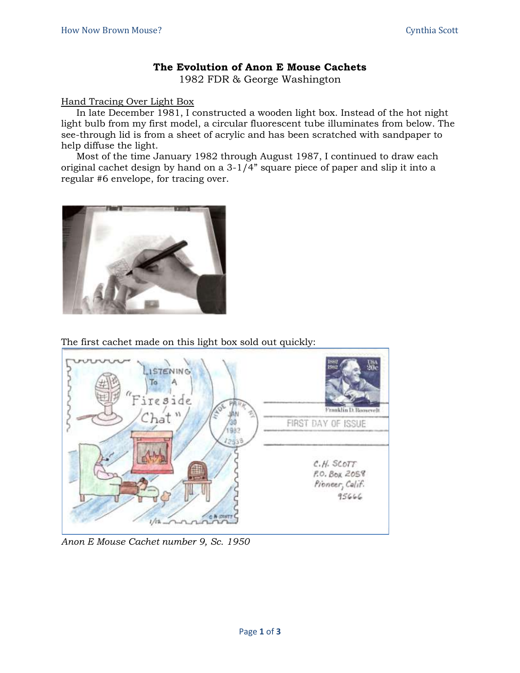## **The Evolution of Anon E Mouse Cachets**

1982 FDR & George Washington

## Hand Tracing Over Light Box

In late December 1981, I constructed a wooden light box. Instead of the hot night light bulb from my first model, a circular fluorescent tube illuminates from below. The see-through lid is from a sheet of acrylic and has been scratched with sandpaper to help diffuse the light.

Most of the time January 1982 through August 1987, I continued to draw each original cachet design by hand on a 3-1/4" square piece of paper and slip it into a regular #6 envelope, for tracing over.



The first cachet made on this light box sold out quickly:



*Anon E Mouse Cachet number 9, Sc. 1950*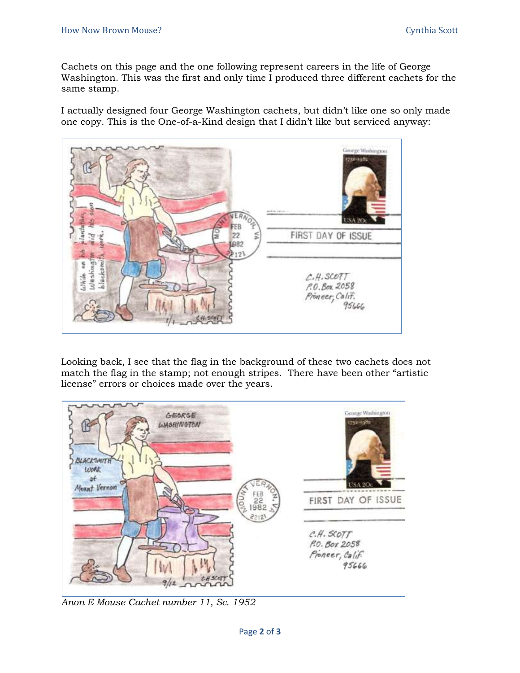Cachets on this page and the one following represent careers in the life of George Washington. This was the first and only time I produced three different cachets for the same stamp.

I actually designed four George Washington cachets, but didn't like one so only made one copy. This is the One-of-a-Kind design that I didn't like but serviced anyway:



Looking back, I see that the flag in the background of these two cachets does not match the flag in the stamp; not enough stripes. There have been other "artistic license" errors or choices made over the years.



*Anon E Mouse Cachet number 11, Sc. 1952*